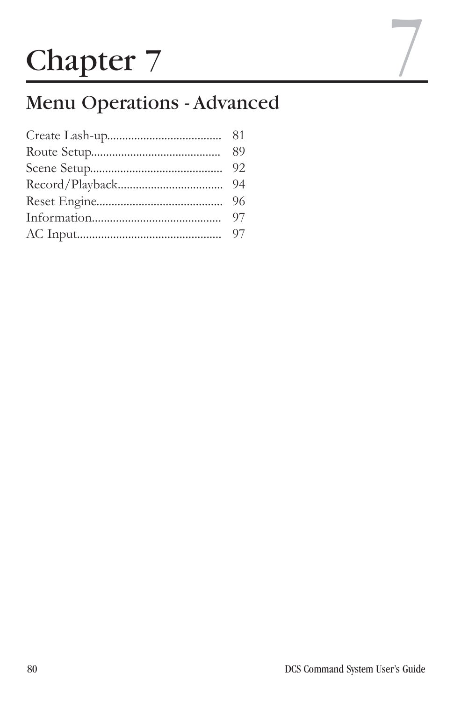# **Chapter 7**

# Menu Operations - Advanced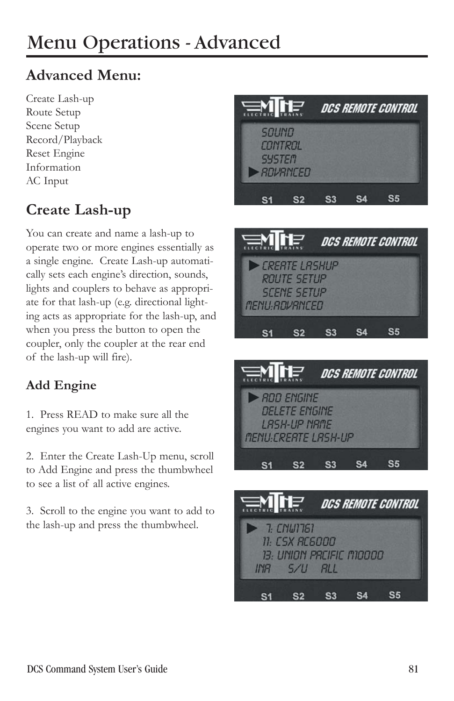# **Advanced Menu:**

Create Lash-up Route Setup Scene Setup Record/Playback Reset Engine Information AC Input

# **Create Lash-up**

You can create and name a lash-up to operate two or more engines essentially as a single engine. Create Lash-up automatically sets each engine's direction, sounds, lights and couplers to behave as appropriate for that lash-up (e.g. directional lighting acts as appropriate for the lash-up, and when you press the button to open the coupler, only the coupler at the rear end of the lash-up will fire).

#### **Add Engine**

1. Press READ to make sure all the engines you want to add are active.

2. Enter the Create Lash-Up menu, scroll to Add Engine and press the thumbwheel to see a list of all active engines.

3. Scroll to the engine you want to add to the lash-up and press the thumbwheel.







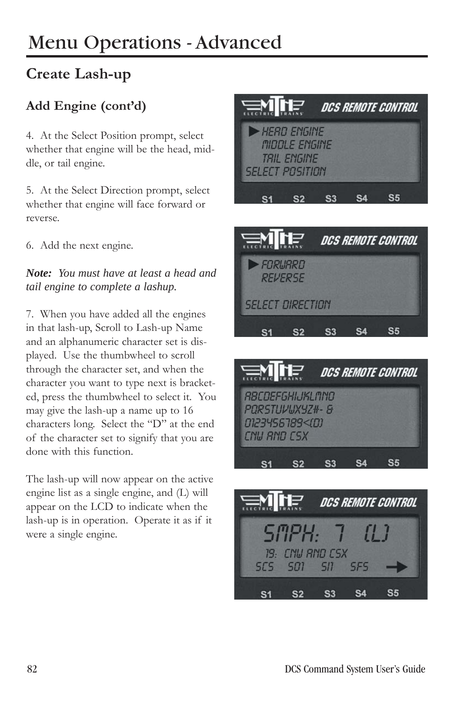# **Create Lash-up**

## **Add Engine (cont'd)**

4. At the Select Position prompt, select whether that engine will be the head, middle, or tail engine.

5. At the Select Direction prompt, select whether that engine will face forward or reverse.

6. Add the next engine.

*Note: You must have at least a head and tail engine to complete a lashup.*

7. When you have added all the engines in that lash-up, Scroll to Lash-up Name and an alphanumeric character set is displayed. Use the thumbwheel to scroll through the character set, and when the character you want to type next is bracketed, press the thumbwheel to select it. You may give the lash-up a name up to 16 characters long. Select the "D" at the end of the character set to signify that you are done with this function.

The lash-up will now appear on the active engine list as a single engine, and (L) will appear on the LCD to indicate when the lash-up is in operation. Operate it as if it were a single engine.







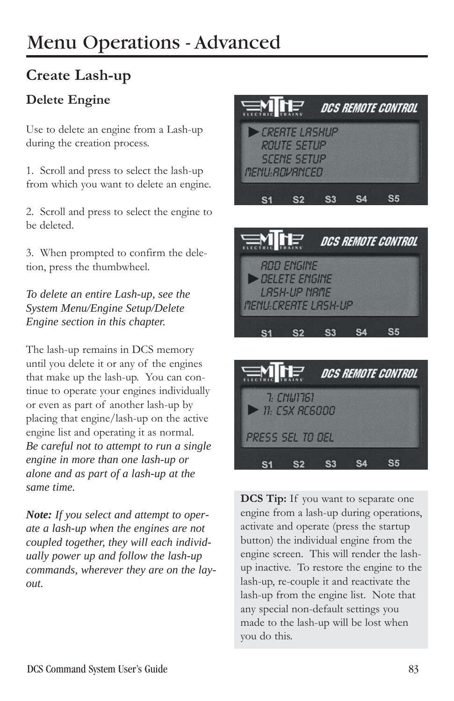# **Create Lash-up**

#### **Delete Engine**

Use to delete an engine from a Lash-up during the creation process.

1. Scroll and press to select the lash-up from which you want to delete an engine.

2. Scroll and press to select the engine to be deleted.

3. When prompted to confirm the deletion, press the thumbwheel.

*To delete an entire Lash-up, see the System Menu/Engine Setup/Delete Engine section in this chapter.*

The lash-up remains in DCS memory until you delete it or any of the engines that make up the lash-up. You can continue to operate your engines individually or even as part of another lash-up by placing that engine/lash-up on the active engine list and operating it as normal. *Be careful not to attempt to run a single engine in more than one lash-up or alone and as part of a lash-up at the same time.* 

*Note: If you select and attempt to operate a lash-up when the engines are not coupled together, they will each individually power up and follow the lash-up commands, wherever they are on the layout.*







**DCS Tip:** If you want to separate one engine from a lash-up during operations, activate and operate (press the startup button) the individual engine from the engine screen. This will render the lashup inactive. To restore the engine to the lash-up, re-couple it and reactivate the lash-up from the engine list. Note that any special non-default settings you made to the lash-up will be lost when you do this.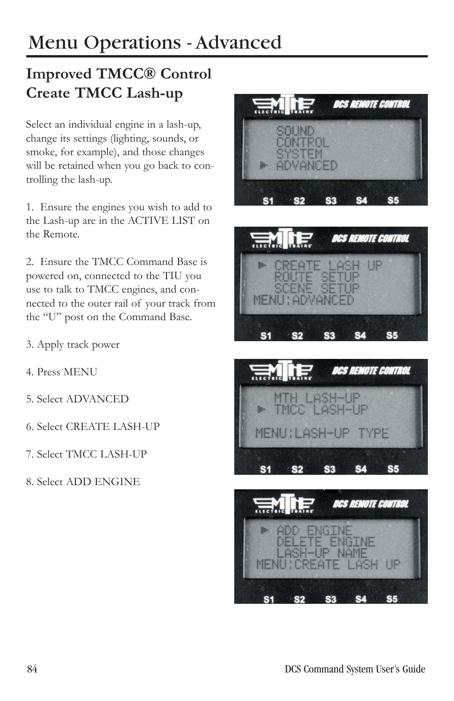# **Improved TMCC® Control Create TMCC Lash-up**

Select an individual engine in a lash-up, change its settings (lighting, sounds, or smoke, for example), and those changes will be retained when you go back to controlling the lash-up.

1. Ensure the engines you wish to add to the Lash-up are in the ACTIVE LIST on the Remote.

2. Ensure the TMCC Command Base is powered on, connected to the TIU you use to talk to TMCC engines, and connected to the outer rail of your track from the "U" post on the Command Base.

- 3. Apply track power
- 4. Press MENU
- 5. Select ADVANCED
- 6. Select CREATE LASH-UP
- 7. Select TMCC LASH-UP
- 8. Select ADD ENGINE







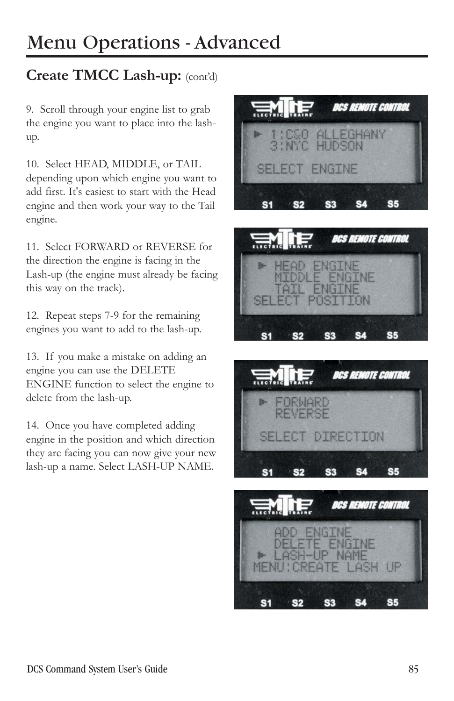# **Create TMCC Lash-up:** (cont'd)

9. Scroll through your engine list to grab the engine you want to place into the lashup.

10. Select HEAD, MIDDLE, or TAIL depending upon which engine you want to add first. It's easiest to start with the Head engine and then work your way to the Tail engine.

11. Select FORWARD or REVERSE for the direction the engine is facing in the Lash-up (the engine must already be facing this way on the track).

12. Repeat steps 7-9 for the remaining engines you want to add to the lash-up.

13. If you make a mistake on adding an engine you can use the DELETE ENGINE function to select the engine to delete from the lash-up.

14. Once you have completed adding engine in the position and which direction they are facing you can now give your new lash-up a name. Select LASH-UP NAME.







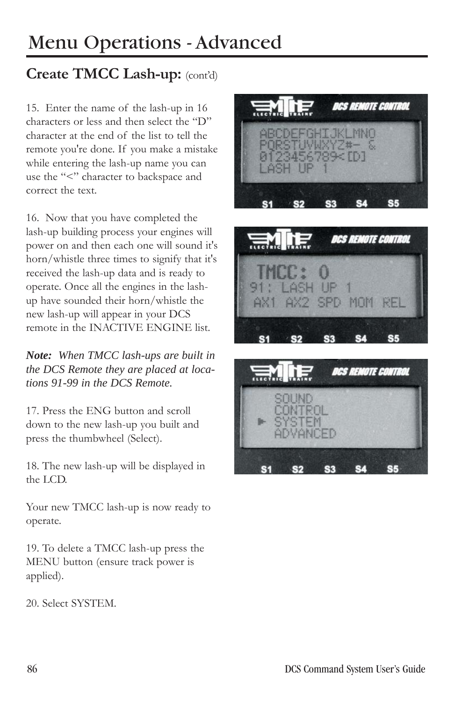# **Create TMCC Lash-up:** (cont'd)

15. Enter the name of the lash-up in 16 characters or less and then select the "D" character at the end of the list to tell the remote you're done. If you make a mistake while entering the lash-up name you can use the "<" character to backspace and correct the text.

16. Now that you have completed the lash-up building process your engines will power on and then each one will sound it's horn/whistle three times to signify that it's received the lash-up data and is ready to operate. Once all the engines in the lashup have sounded their horn/whistle the new lash-up will appear in your DCS remote in the INACTIVE ENGINE list.

*Note: When TMCC lash-ups are built in the DCS Remote they are placed at locations 91-99 in the DCS Remote.*

17. Press the ENG button and scroll down to the new lash-up you built and press the thumbwheel (Select).

18. The new lash-up will be displayed in the LCD.

Your new TMCC lash-up is now ready to operate.

19. To delete a TMCC lash-up press the MENU button (ensure track power is applied).

20. Select SYSTEM.





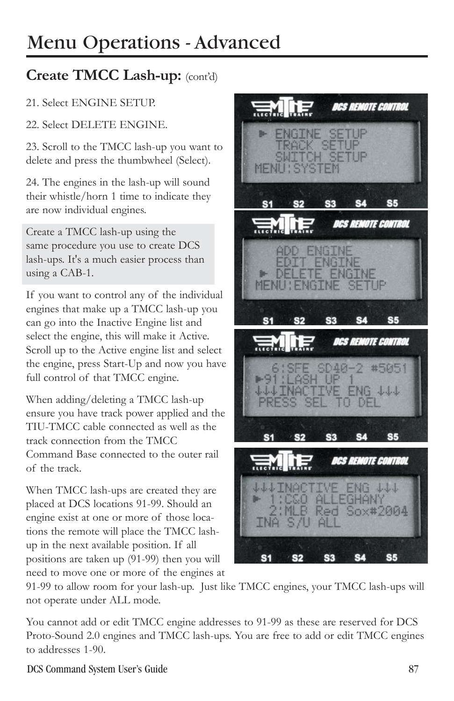# **Create TMCC Lash-up:** (cont'd)

#### 21. Select ENGINE SETUP.

22. Select DELETE ENGINE.

23. Scroll to the TMCC lash-up you want to delete and press the thumbwheel (Select).

24. The engines in the lash-up will sound their whistle/horn 1 time to indicate they are now individual engines.

Create a TMCC lash-up using the same procedure you use to create DCS lash-ups. It's a much easier process than using a CAB-1.

If you want to control any of the individual engines that make up a TMCC lash-up you can go into the Inactive Engine list and select the engine, this will make it Active. Scroll up to the Active engine list and select the engine, press Start-Up and now you have full control of that TMCC engine.

When adding/deleting a TMCC lash-up ensure you have track power applied and the TIU-TMCC cable connected as well as the track connection from the TMCC Command Base connected to the outer rail of the track.

When TMCC lash-ups are created they are placed at DCS locations 91-99. Should an engine exist at one or more of those locations the remote will place the TMCC lashup in the next available position. If all positions are taken up (91-99) then you will need to move one or more of the engines at

**DCS REMOTE CONTROL** ENGINE SETUP TRACK SETUP MENU **S5**  $S<sub>1</sub>$ **S2** S<sub>3</sub> **S4 DCS REMOTE CONTROL ADD ENGINE** DIT ENGINE DELETE ENGINE MENU : ENGINE  $S<sub>1</sub>$ **S2** S3 S5 **DCS REMOTE CONTROL** 6:SFE SD4)<br>1:LASH UP SD40-2 #5051  $+91:$ INACTIVE ENG 444 **PRESS TO DE S5 S3 S4 DCS REMOTE CONTROL 444 INACTIVE ENG 444** 1:CSO ALLEGHANY<br>2:MLB Red Sox#2004  $S/U$  AL **S4** S<sub>5</sub> S<sub>3</sub> S2

91-99 to allow room for your lash-up. Just like TMCC engines, your TMCC lash-ups will not operate under ALL mode.

You cannot add or edit TMCC engine addresses to 91-99 as these are reserved for DCS Proto-Sound 2.0 engines and TMCC lash-ups. You are free to add or edit TMCC engines to addresses 1-90.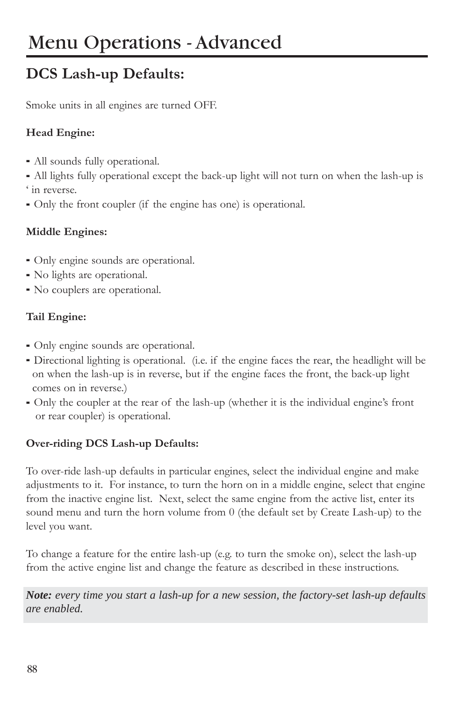# **DCS Lash-up Defaults:**

Smoke units in all engines are turned OFF.

#### **Head Engine:**

- All sounds fully operational.
- All lights fully operational except the back-up light will not turn on when the lash-up is ' in reverse.
- Only the front coupler (if the engine has one) is operational.

#### **Middle Engines:**

- Only engine sounds are operational.
- No lights are operational.
- No couplers are operational.

#### **Tail Engine:**

- Only engine sounds are operational.
- Directional lighting is operational. (i.e. if the engine faces the rear, the headlight will be on when the lash-up is in reverse, but if the engine faces the front, the back-up light comes on in reverse.)
- Only the coupler at the rear of the lash-up (whether it is the individual engine's front or rear coupler) is operational.

#### **Over-riding DCS Lash-up Defaults:**

To over-ride lash-up defaults in particular engines, select the individual engine and make adjustments to it. For instance, to turn the horn on in a middle engine, select that engine from the inactive engine list. Next, select the same engine from the active list, enter its sound menu and turn the horn volume from 0 (the default set by Create Lash-up) to the level you want.

To change a feature for the entire lash-up (e.g. to turn the smoke on), select the lash-up from the active engine list and change the feature as described in these instructions.

*Note: every time you start a lash-up for a new session, the factory-set lash-up defaults are enabled.*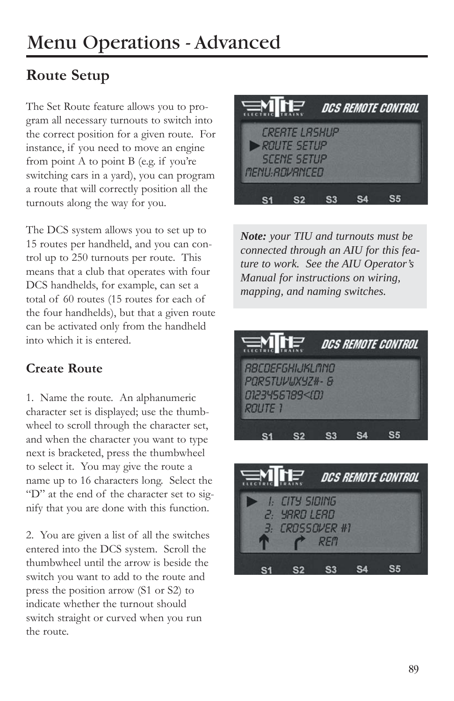# **Route Setup**

The Set Route feature allows you to program all necessary turnouts to switch into the correct position for a given route. For instance, if you need to move an engine from point A to point B (e.g. if you're switching cars in a yard), you can program a route that will correctly position all the turnouts along the way for you.

The DCS system allows you to set up to 15 routes per handheld, and you can control up to 250 turnouts per route. This means that a club that operates with four DCS handhelds, for example, can set a total of 60 routes (15 routes for each of the four handhelds), but that a given route can be activated only from the handheld into which it is entered.

#### **Create Route**

1. Name the route. An alphanumeric character set is displayed; use the thumbwheel to scroll through the character set, and when the character you want to type next is bracketed, press the thumbwheel to select it. You may give the route a name up to 16 characters long. Select the "D" at the end of the character set to signify that you are done with this function.

2. You are given a list of all the switches entered into the DCS system. Scroll the thumbwheel until the arrow is beside the switch you want to add to the route and press the position arrow (S1 or S2) to indicate whether the turnout should switch straight or curved when you run the route.



*Note: your TIU and turnouts must be connected through an AIU for this feature to work. See the AIU Operator's Manual for instructions on wiring, mapping, and naming switches.*



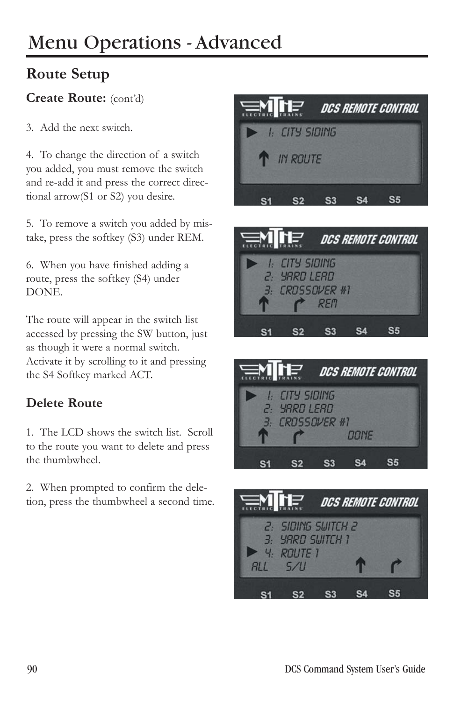# **Route Setup**

#### **Create Route:** (cont'd)

3. Add the next switch.

4. To change the direction of a switch you added, you must remove the switch and re-add it and press the correct directional arrow(S1 or S2) you desire.

5. To remove a switch you added by mistake, press the softkey (S3) under REM.

6. When you have finished adding a route, press the softkey (S4) under DONE.

The route will appear in the switch list accessed by pressing the SW button, just as though it were a normal switch. Activate it by scrolling to it and pressing the S4 Softkey marked ACT.

#### **Delete Route**

1. The LCD shows the switch list. Scroll to the route you want to delete and press the thumbwheel.

2. When prompted to confirm the deletion, press the thumbwheel a second time.







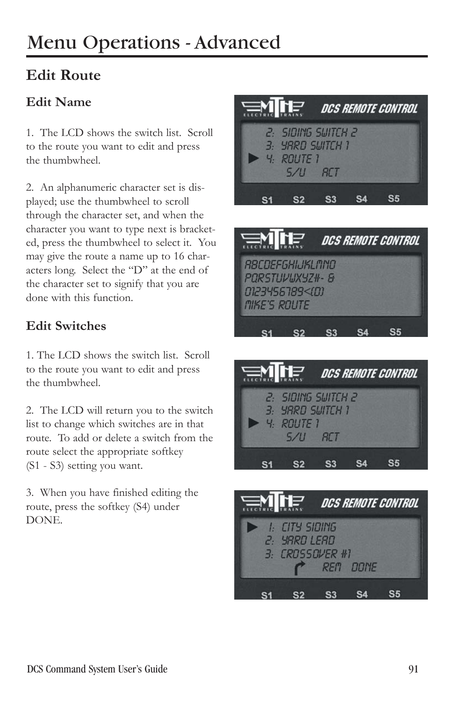# **Edit Route**

#### **Edit Name**

1. The LCD shows the switch list. Scroll to the route you want to edit and press the thumbwheel.

2. An alphanumeric character set is displayed; use the thumbwheel to scroll through the character set, and when the character you want to type next is bracketed, press the thumbwheel to select it. You may give the route a name up to 16 characters long. Select the "D" at the end of the character set to signify that you are done with this function.

#### **Edit Switches**

1. The LCD shows the switch list. Scroll to the route you want to edit and press the thumbwheel.

2. The LCD will return you to the switch list to change which switches are in that route. To add or delete a switch from the route select the appropriate softkey (S1 - S3) setting you want.

3. When you have finished editing the route, press the softkey (S4) under DONE.







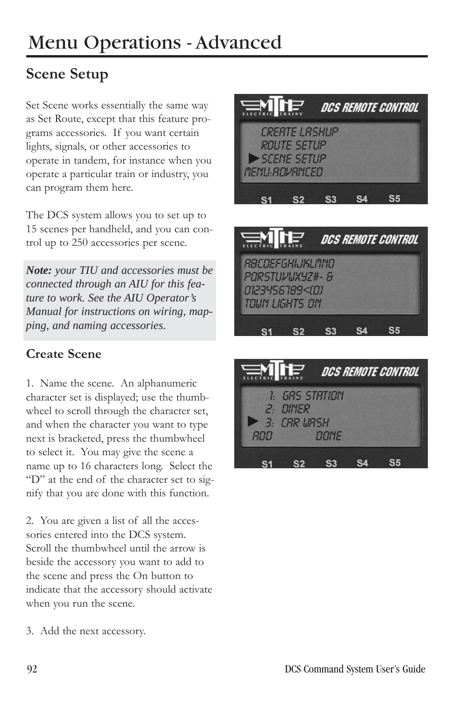# **Scene Setup**

Set Scene works essentially the same way as Set Route, except that this feature programs accessories. If you want certain lights, signals, or other accessories to operate in tandem, for instance when you operate a particular train or industry, you can program them here.

The DCS system allows you to set up to 15 scenes per handheld, and you can control up to 250 accessories per scene.

*Note: your TIU and accessories must be connected through an AIU for this feature to work. See the AIU Operator's Manual for instructions on wiring, mapping, and naming accessories.*

#### **Create Scene**

1. Name the scene. An alphanumeric character set is displayed; use the thumbwheel to scroll through the character set, and when the character you want to type next is bracketed, press the thumbwheel to select it. You may give the scene a name up to 16 characters long. Select the "D" at the end of the character set to signify that you are done with this function.

2. You are given a list of all the accessories entered into the DCS system. Scroll the thumbwheel until the arrow is beside the accessory you want to add to the scene and press the On button to indicate that the accessory should activate when you run the scene.







3. Add the next accessory.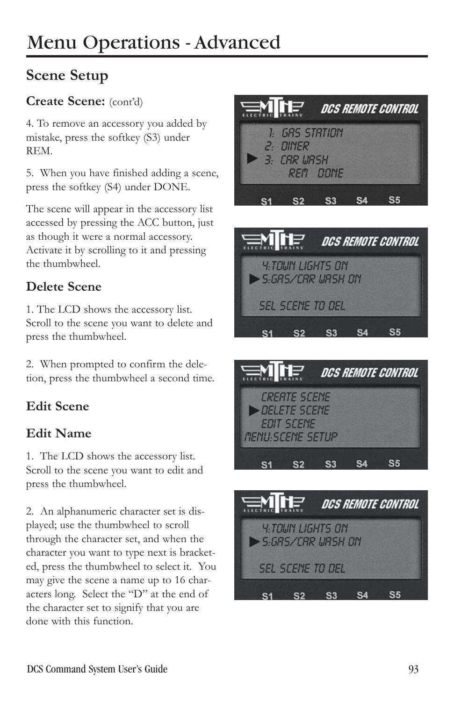# **Scene Setup**

#### **Create Scene:** (cont'd)

4. To remove an accessory you added by mistake, press the softkey (S3) under REM.

5. When you have finished adding a scene, press the softkey (S4) under DONE.

The scene will appear in the accessory list accessed by pressing the ACC button, just as though it were a normal accessory. Activate it by scrolling to it and pressing the thumbwheel.

## **Delete Scene**

1. The LCD shows the accessory list. Scroll to the scene you want to delete and press the thumbwheel.

2. When prompted to confirm the deletion, press the thumbwheel a second time.

## **Edit Scene**

#### **Edit Name**

1. The LCD shows the accessory list. Scroll to the scene you want to edit and press the thumbwheel.

2. An alphanumeric character set is displayed; use the thumbwheel to scroll through the character set, and when the character you want to type next is bracketed, press the thumbwheel to select it. You may give the scene a name up to 16 characters long. Select the "D" at the end of the character set to signify that you are done with this function.







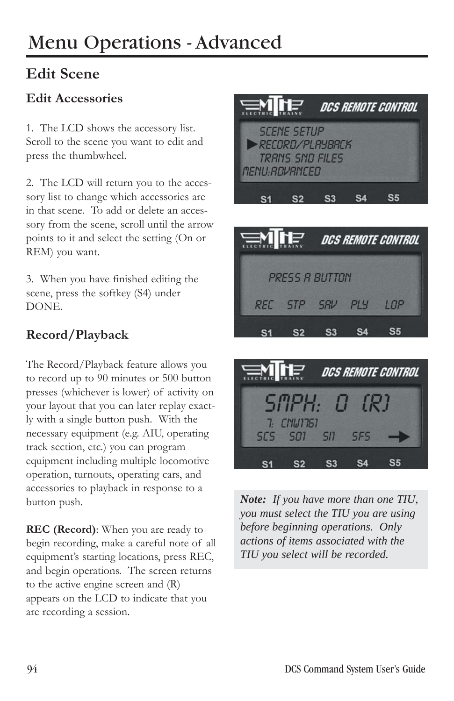# **Edit Scene**

#### **Edit Accessories**

1. The LCD shows the accessory list. Scroll to the scene you want to edit and press the thumbwheel.

2. The LCD will return you to the accessory list to change which accessories are in that scene. To add or delete an accessory from the scene, scroll until the arrow points to it and select the setting (On or REM) you want.

3. When you have finished editing the scene, press the softkey (S4) under DONE.

#### **Record/Playback**

The Record/Playback feature allows you to record up to 90 minutes or 500 button presses (whichever is lower) of activity on your layout that you can later replay exactly with a single button push. With the necessary equipment (e.g. AIU, operating track section, etc.) you can program equipment including multiple locomotive operation, turnouts, operating cars, and accessories to playback in response to a button push.

**REC (Record)**: When you are ready to begin recording, make a careful note of all equipment's starting locations, press REC, and begin operations. The screen returns to the active engine screen and (R) appears on the LCD to indicate that you are recording a session.





**S3** 

**S4** 

 $S<sub>1</sub>$ 

 $S<sub>2</sub>$ 

**S5** 

*Note: If you have more than one TIU, you must select the TIU you are using before beginning operations. Only actions of items associated with the TIU you select will be recorded.*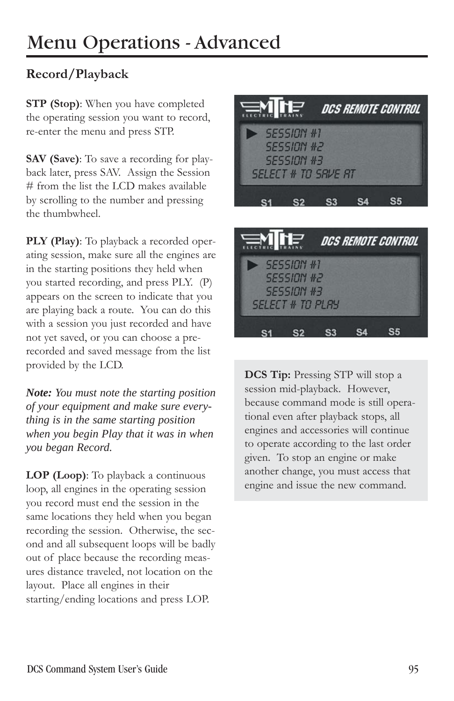#### **Record/Playback**

**STP (Stop)**: When you have completed the operating session you want to record, re-enter the menu and press STP.

**SAV (Save)**: To save a recording for playback later, press SAV. Assign the Session # from the list the LCD makes available by scrolling to the number and pressing the thumbwheel.

**PLY (Play)**: To playback a recorded operating session, make sure all the engines are in the starting positions they held when you started recording, and press PLY. (P) appears on the screen to indicate that you are playing back a route. You can do this with a session you just recorded and have not yet saved, or you can choose a prerecorded and saved message from the list provided by the LCD.

*Note: You must note the starting position of your equipment and make sure everything is in the same starting position when you begin Play that it was in when you began Record.*

**LOP (Loop)**: To playback a continuous loop, all engines in the operating session you record must end the session in the same locations they held when you began recording the session. Otherwise, the second and all subsequent loops will be badly out of place because the recording measures distance traveled, not location on the layout. Place all engines in their starting/ending locations and press LOP.





**DCS Tip:** Pressing STP will stop a session mid-playback. However, because command mode is still operational even after playback stops, all engines and accessories will continue to operate according to the last order given. To stop an engine or make another change, you must access that engine and issue the new command.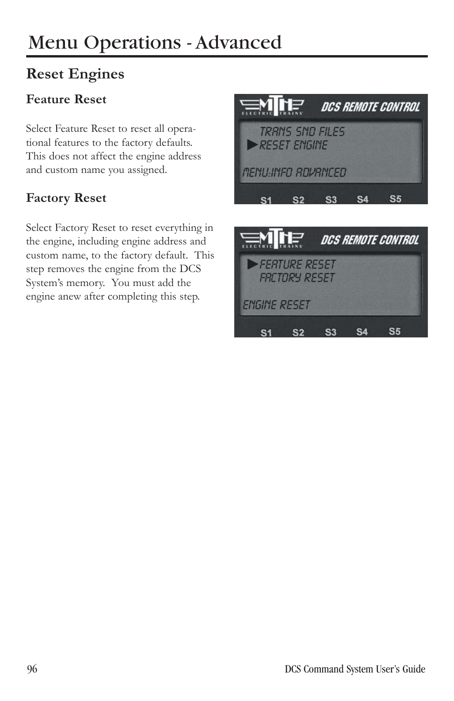## **Reset Engines**

#### **Feature Reset**

Select Feature Reset to reset all operational features to the factory defaults. This does not affect the engine address and custom name you assigned.

#### **Factory Reset**

Select Factory Reset to reset everything in the engine, including engine address and custom name, to the factory default. This step removes the engine from the DCS System's memory. You must add the engine anew after completing this step.